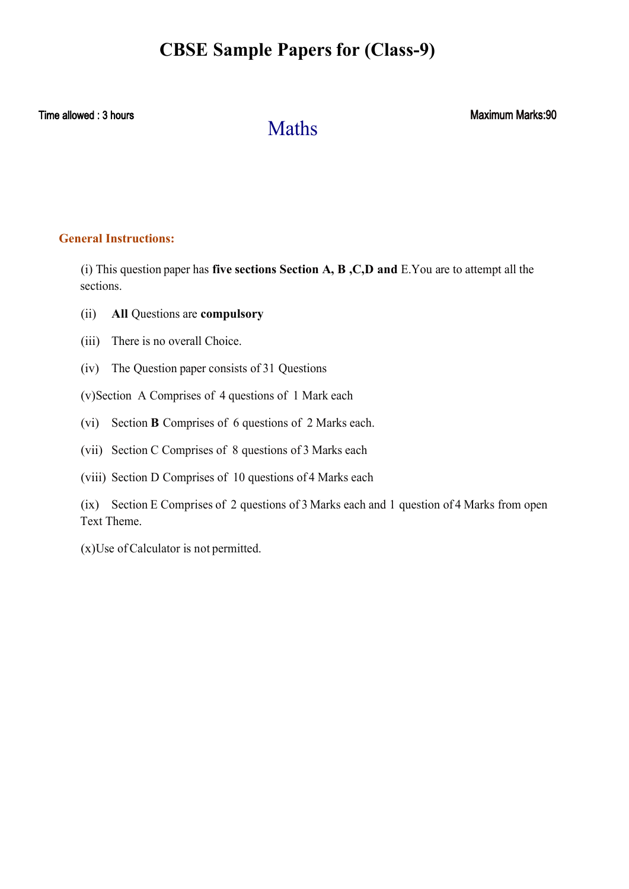# **CBSE Sample Papers for (Class-9)**

Time allowed : 3 hours

# Maths

Maximum Marks:90

## **General Instructions:**

(i) This question paper has **five sections Section A, B ,C,D and** E.You are to attempt all the sections.

- (ii) **All** Questions are **compulsory**
- (iii) There is no overall Choice.
- (iv) The Question paper consists of 31 Questions
- (v)Section A Comprises of 4 questions of 1 Mark each
- (vi) Section **B** Comprises of 6 questions of 2 Marks each.
- (vii) Section C Comprises of 8 questions of 3 Marks each
- (viii) Section D Comprises of 10 questions of 4 Marks each

(ix) Section E Comprises of 2 questions of 3 Marks each and 1 question of 4 Marks from open Text Theme.

(x)Use of Calculator is not permitted.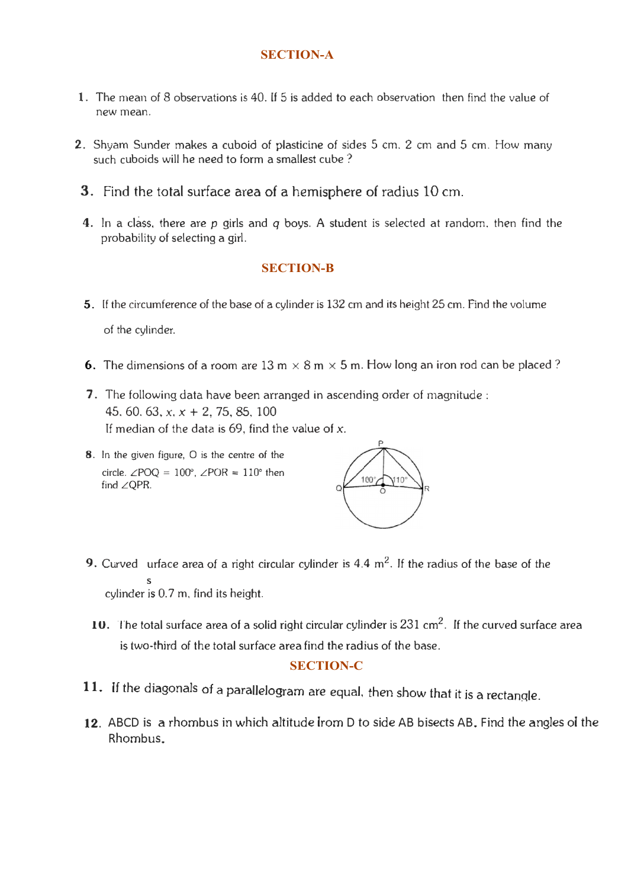## **SECTION-A**

- 1. The mean of 8 observations is 40. If 5 is added to each observation then find the value of new mean.
- 2. Shyam Sunder makes a cuboid of plasticine of sides 5 cm. 2 cm and 5 cm. How many such cuboids will he need to form a smallest cube ?
- 3. Find the total surface area of a hemisphere of radius 10 cm.
- 4. In a class, there are *p* girls and *q* boys. A student is selected at random. then find the probability of selecting a girl.

### **SECTION-B**

- 5. If the circumference of the base of a cylinder is 132 cm and its height 25 cm. Find the volume of the cylinder.
- 6. The dimensions of a room are 13 m  $\times$  8 m  $\times$  5 m. How long an iron rod can be placed?
- 7. The following data have been arranged in ascending order of magnitude : 45, 60, 63,  $x, x + 2, 75, 85, 100$ If median of the data is 69, find the value of *x.*
- 8. In the given figure, 0 is the centre of the circle.  $\angle$ POQ = 100°,  $\angle$ POR = 110° then find  $\angle$  QPR.



- **9.** Curved urface area of a right circular cylinder is  $4.4 \text{ m}^2$ . If the radius of the base of the  $\begin{array}{c} 5 \\ 4 \end{array}$ cylinder 1s 0.7 m, find its height.
- **10.** The total surface area of a solid right circular cylinder is  $231$  cm<sup>2</sup>. If the curved surface area is two.third of the total surface area find the radius of the base.

## **SECTION-C**

- 11. If the diagonals of a parallelogram are equal, then show that it is a rectangle.
- 12. ABCD is a rhombus in which altitude from D to side AB bisects AB. Find the angles of the Rhombus.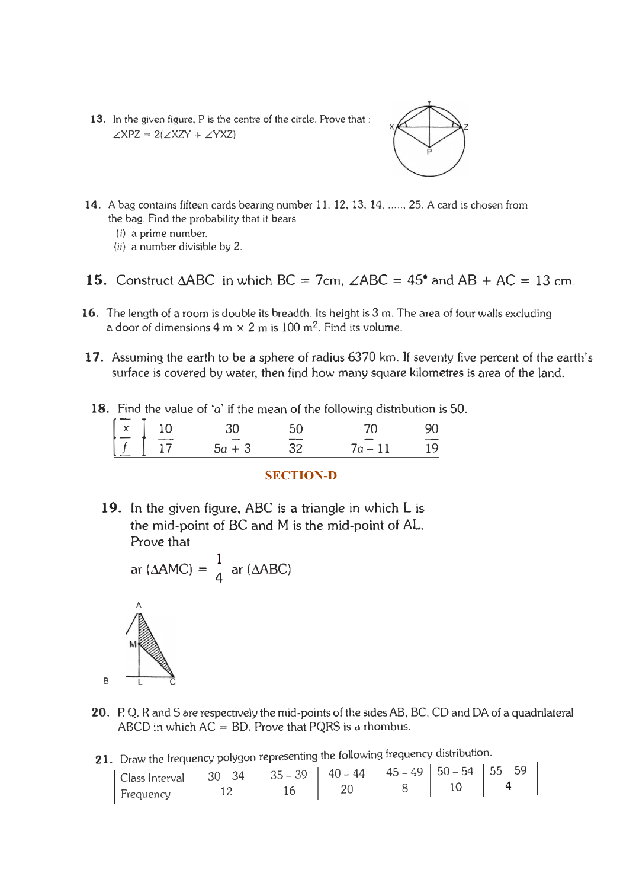13. In the given figure, P is the centre of the circle. Prove that:  $\angle$ XPZ = 2( $\angle$ XZY +  $\angle$ YXZ)



- **14.** A bag contains fifteen cards bearing number 11, 12, 13, 14, ..... , 25. A card is chosen from the bag. Find the probability that it bears
	- (i) a prime number.
	- (ii) a number divisible by 2.
- 15. Construct  $\triangle ABC$  in which  $BC = 7cm$ ,  $\angle ABC = 45^{\circ}$  and  $AB + AC = 13$  cm.
- 16. The length of a room is double its breadth. Its height is 3 m. The area of four walls excluding a door of dimensions  $4$  m  $\times$   $2$  m is  $100$  m<sup>2</sup>. Find its volume.
- 17. Assuming the earth to be a sphere of radius 6370 km. If seventy five percent of the earth's surface is covered by water, then find how many square kilometres is area of the land.
	- 18. Find the value of 'a' if the mean of the following distribution is 50.

|                                                                       |                 |      | <b>Thiu the value of a fille fileari of the following distribution is</b> |    |
|-----------------------------------------------------------------------|-----------------|------|---------------------------------------------------------------------------|----|
|                                                                       | 30 <sup>2</sup> | -50  | 70                                                                        | 90 |
| $\begin{array}{ c c }\n\hline\nx & 10 \\ \hline\nf & 17\n\end{array}$ | $5a + 3$        | - 32 | $7a - 11$                                                                 | 19 |
|                                                                       |                 |      |                                                                           |    |

#### **SECTION-D**

19. In the given figure, ABC is a triangle in which L is the mid-point of BC and M is the mid-point of AL. Prove that

$$
ar (\Delta AMC) = \frac{1}{4} ar (\Delta ABC)
$$



- 20. P. Q. R and S are respectively the mid-points of the sides AB, BC, CD and DA of a quadrilateral ABCD in which  $AC = BD$ . Prove that PQRS is a rhombus.
- 21. Draw the frequency polygon representing the following frequency distribution.

| Class Interval $30 \t34 \t35-39 \t40-44 \t45-49 \t50-54 \t55 \t59$<br>Frequency 12 16 20 8 10 4 |  |  |  |
|-------------------------------------------------------------------------------------------------|--|--|--|
|                                                                                                 |  |  |  |